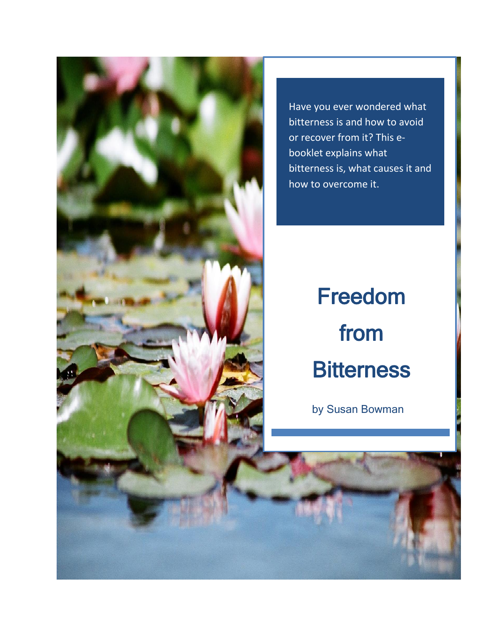

Have you ever wondered what bitterness is and how to avoid or recover from it? This ebooklet explains what bitterness is, what causes it and how to overcome it.

# Freedom from **Bitterness**

by Susan Bowman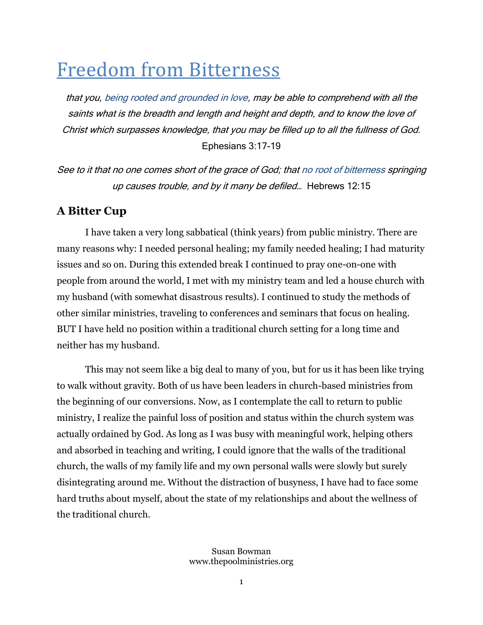# Freedom from Bitterness

that you, being rooted and grounded in love, may be able to comprehend with all the saints what is the breadth and length and height and depth, and to know the love of Christ which surpasses knowledge, that you may be filled up to all the fullness of God. Ephesians 3:17-19

See to it that no one comes short of the grace of God; that no root of bitterness springing up causes trouble, and by it many be defiled… Hebrews 12:15

# **A Bitter Cup**

I have taken a very long sabbatical (think years) from public ministry. There are many reasons why: I needed personal healing; my family needed healing; I had maturity issues and so on. During this extended break I continued to pray one-on-one with people from around the world, I met with my ministry team and led a house church with my husband (with somewhat disastrous results). I continued to study the methods of other similar ministries, traveling to conferences and seminars that focus on healing. BUT I have held no position within a traditional church setting for a long time and neither has my husband.

This may not seem like a big deal to many of you, but for us it has been like trying to walk without gravity. Both of us have been leaders in church-based ministries from the beginning of our conversions. Now, as I contemplate the call to return to public ministry, I realize the painful loss of position and status within the church system was actually ordained by God. As long as I was busy with meaningful work, helping others and absorbed in teaching and writing, I could ignore that the walls of the traditional church, the walls of my family life and my own personal walls were slowly but surely disintegrating around me. Without the distraction of busyness, I have had to face some hard truths about myself, about the state of my relationships and about the wellness of the traditional church.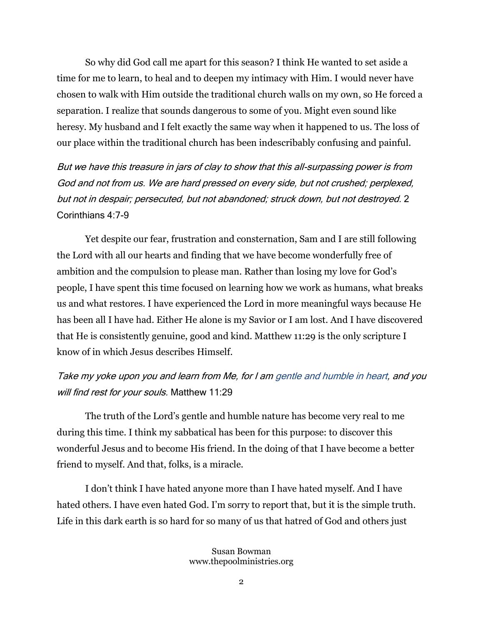So why did God call me apart for this season? I think He wanted to set aside a time for me to learn, to heal and to deepen my intimacy with Him. I would never have chosen to walk with Him outside the traditional church walls on my own, so He forced a separation. I realize that sounds dangerous to some of you. Might even sound like heresy. My husband and I felt exactly the same way when it happened to us. The loss of our place within the traditional church has been indescribably confusing and painful.

But we have this treasure in jars of clay to show that this all-surpassing power is from God and not from us. We are hard pressed on every side, but not crushed; perplexed, but not in despair; persecuted, but not abandoned; struck down, but not destroyed. 2 Corinthians 4:7-9

Yet despite our fear, frustration and consternation, Sam and I are still following the Lord with all our hearts and finding that we have become wonderfully free of ambition and the compulsion to please man. Rather than losing my love for God's people, I have spent this time focused on learning how we work as humans, what breaks us and what restores. I have experienced the Lord in more meaningful ways because He has been all I have had. Either He alone is my Savior or I am lost. And I have discovered that He is consistently genuine, good and kind. Matthew 11:29 is the only scripture I know of in which Jesus describes Himself.

#### Take my yoke upon you and learn from Me, for I am gentle and humble in heart, and you will find rest for your souls. Matthew 11:29

The truth of the Lord's gentle and humble nature has become very real to me during this time. I think my sabbatical has been for this purpose: to discover this wonderful Jesus and to become His friend. In the doing of that I have become a better friend to myself. And that, folks, is a miracle.

I don't think I have hated anyone more than I have hated myself. And I have hated others. I have even hated God. I'm sorry to report that, but it is the simple truth. Life in this dark earth is so hard for so many of us that hatred of God and others just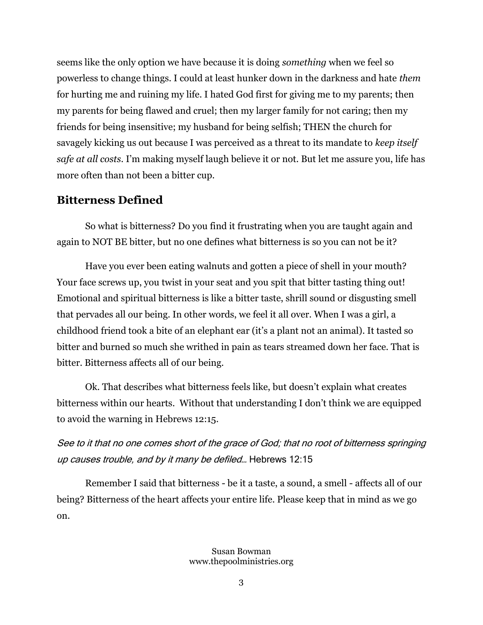seems like the only option we have because it is doing *something* when we feel so powerless to change things. I could at least hunker down in the darkness and hate *them*  for hurting me and ruining my life. I hated God first for giving me to my parents; then my parents for being flawed and cruel; then my larger family for not caring; then my friends for being insensitive; my husband for being selfish; THEN the church for savagely kicking us out because I was perceived as a threat to its mandate to *keep itself safe at all costs*. I'm making myself laugh believe it or not. But let me assure you, life has more often than not been a bitter cup.

#### **Bitterness Defined**

So what is bitterness? Do you find it frustrating when you are taught again and again to NOT BE bitter, but no one defines what bitterness is so you can not be it?

Have you ever been eating walnuts and gotten a piece of shell in your mouth? Your face screws up, you twist in your seat and you spit that bitter tasting thing out! Emotional and spiritual bitterness is like a bitter taste, shrill sound or disgusting smell that pervades all our being. In other words, we feel it all over. When I was a girl, a childhood friend took a bite of an elephant ear (it's a plant not an animal). It tasted so bitter and burned so much she writhed in pain as tears streamed down her face. That is bitter. Bitterness affects all of our being.

Ok. That describes what bitterness feels like, but doesn't explain what creates bitterness within our hearts. Without that understanding I don't think we are equipped to avoid the warning in Hebrews 12:15.

See to it that no one comes short of the grace of God; that no root of bitterness springing up causes trouble, and by it many be defiled… Hebrews 12:15

Remember I said that bitterness - be it a taste, a sound, a smell - affects all of our being? Bitterness of the heart affects your entire life. Please keep that in mind as we go on.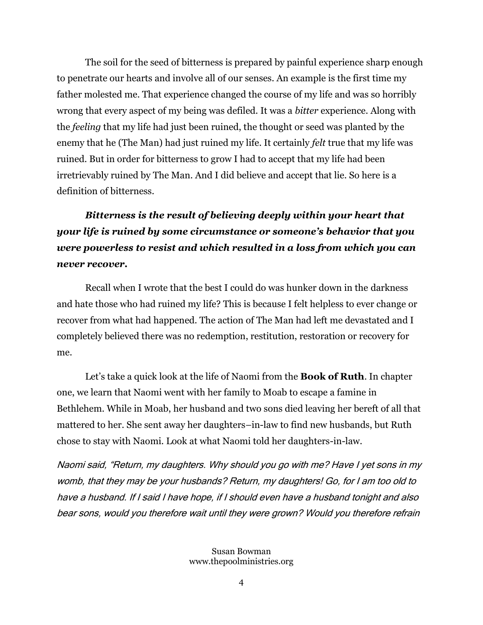The soil for the seed of bitterness is prepared by painful experience sharp enough to penetrate our hearts and involve all of our senses. An example is the first time my father molested me. That experience changed the course of my life and was so horribly wrong that every aspect of my being was defiled. It was a *bitter* experience. Along with the *feeling* that my life had just been ruined, the thought or seed was planted by the enemy that he (The Man) had just ruined my life. It certainly *felt* true that my life was ruined. But in order for bitterness to grow I had to accept that my life had been irretrievably ruined by The Man. And I did believe and accept that lie. So here is a definition of bitterness.

# *Bitterness is the result of believing deeply within your heart that your life is ruined by some circumstance or someone's behavior that you were powerless to resist and which resulted in a loss from which you can never recover.*

Recall when I wrote that the best I could do was hunker down in the darkness and hate those who had ruined my life? This is because I felt helpless to ever change or recover from what had happened. The action of The Man had left me devastated and I completely believed there was no redemption, restitution, restoration or recovery for me.

Let's take a quick look at the life of Naomi from the **Book of Ruth**. In chapter one, we learn that Naomi went with her family to Moab to escape a famine in Bethlehem. While in Moab, her husband and two sons died leaving her bereft of all that mattered to her. She sent away her daughters–in-law to find new husbands, but Ruth chose to stay with Naomi. Look at what Naomi told her daughters-in-law.

Naomi said, "Return, my daughters. Why should you go with me? Have I yet sons in my womb, that they may be your husbands? Return, my daughters! Go, for I am too old to have a husband. If I said I have hope, if I should even have a husband tonight and also bear sons, would you therefore wait until they were grown? Would you therefore refrain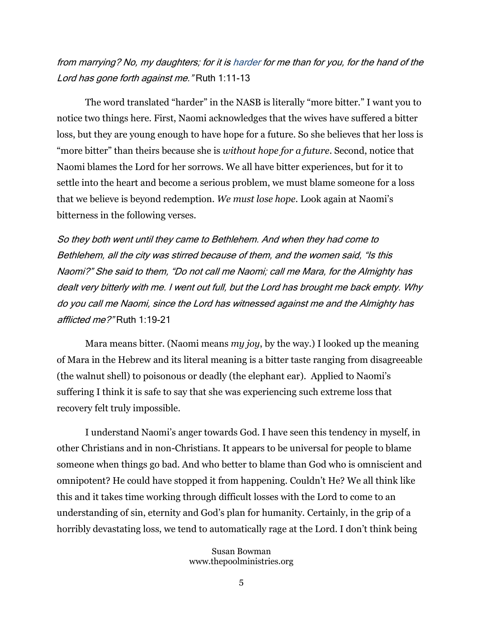#### from marrying? No, my daughters; for it is harder for me than for you, for the hand of the Lord has gone forth against me." Ruth 1:11-13

The word translated "harder" in the NASB is literally "more bitter." I want you to notice two things here. First, Naomi acknowledges that the wives have suffered a bitter loss, but they are young enough to have hope for a future. So she believes that her loss is "more bitter" than theirs because she is *without hope for a future*. Second, notice that Naomi blames the Lord for her sorrows. We all have bitter experiences, but for it to settle into the heart and become a serious problem, we must blame someone for a loss that we believe is beyond redemption. *We must lose hope*. Look again at Naomi's bitterness in the following verses.

So they both went until they came to Bethlehem. And when they had come to Bethlehem, all the city was stirred because of them, and the women said, "Is this Naomi?" She said to them, "Do not call me Naomi; call me Mara, for the Almighty has dealt very bitterly with me. I went out full, but the Lord has brought me back empty. Why do you call me Naomi, since the Lord has witnessed against me and the Almighty has afflicted me?" Ruth 1:19-21

Mara means bitter. (Naomi means *my joy*, by the way.) I looked up the meaning of Mara in the Hebrew and its literal meaning is a bitter taste ranging from disagreeable (the walnut shell) to poisonous or deadly (the elephant ear). Applied to Naomi's suffering I think it is safe to say that she was experiencing such extreme loss that recovery felt truly impossible.

I understand Naomi's anger towards God. I have seen this tendency in myself, in other Christians and in non-Christians. It appears to be universal for people to blame someone when things go bad. And who better to blame than God who is omniscient and omnipotent? He could have stopped it from happening. Couldn't He? We all think like this and it takes time working through difficult losses with the Lord to come to an understanding of sin, eternity and God's plan for humanity. Certainly, in the grip of a horribly devastating loss, we tend to automatically rage at the Lord. I don't think being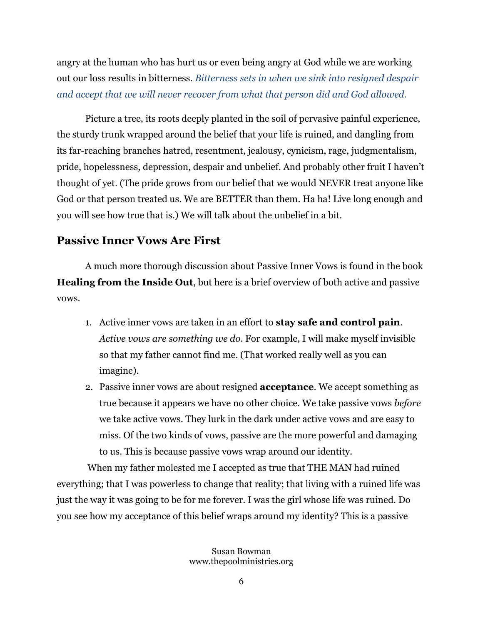angry at the human who has hurt us or even being angry at God while we are working out our loss results in bitterness. *Bitterness sets in when we sink into resigned despair and accept that we will never recover from what that person did and God allowed.*

Picture a tree, its roots deeply planted in the soil of pervasive painful experience, the sturdy trunk wrapped around the belief that your life is ruined, and dangling from its far-reaching branches hatred, resentment, jealousy, cynicism, rage, judgmentalism, pride, hopelessness, depression, despair and unbelief. And probably other fruit I haven't thought of yet. (The pride grows from our belief that we would NEVER treat anyone like God or that person treated us. We are BETTER than them. Ha ha! Live long enough and you will see how true that is.) We will talk about the unbelief in a bit.

#### **Passive Inner Vows Are First**

A much more thorough discussion about Passive Inner Vows is found in the book **Healing from the Inside Out**, but here is a brief overview of both active and passive vows.

- 1. Active inner vows are taken in an effort to **stay safe and control pain**. *Active vows are something we do*. For example, I will make myself invisible so that my father cannot find me. (That worked really well as you can imagine).
- 2. Passive inner vows are about resigned **acceptance**. We accept something as true because it appears we have no other choice. We take passive vows *before* we take active vows. They lurk in the dark under active vows and are easy to miss. Of the two kinds of vows, passive are the more powerful and damaging to us. This is because passive vows wrap around our identity.

When my father molested me I accepted as true that THE MAN had ruined everything; that I was powerless to change that reality; that living with a ruined life was just the way it was going to be for me forever. I was the girl whose life was ruined. Do you see how my acceptance of this belief wraps around my identity? This is a passive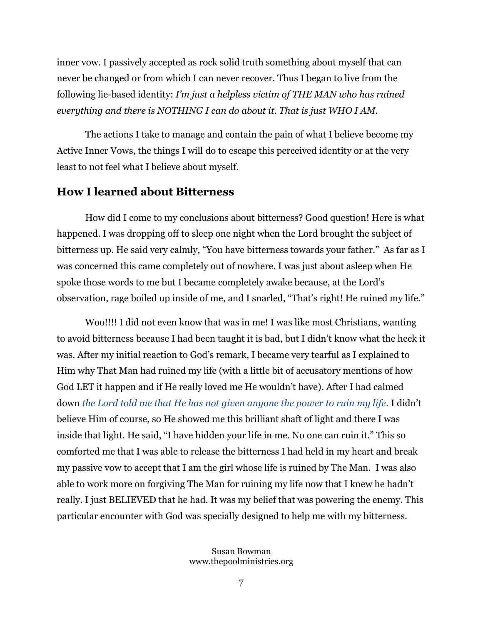inner vow. I passively accepted as rock solid truth something about myself that can never be changed or from which I can never recover. Thus I began to live from the following lie-based identity: *I'm just a helpless victim of THE MAN who has ruined everything and there is NOTHING I can do about it. That is just WHO I AM.* 

The actions I take to manage and contain the pain of what I believe become my Active Inner Vows, the things I will do to escape this perceived identity or at the very least to not feel what I believe about myself.

#### **How I learned about Bitterness**

How did I come to my conclusions about bitterness? Good question! Here is what happened. I was dropping off to sleep one night when the Lord brought the subject of bitterness up. He said very calmly, "You have bitterness towards your father." As far as I was concerned this came completely out of nowhere. I was just about asleep when He spoke those words to me but I became completely awake because, at the Lord's observation, rage boiled up inside of me, and I snarled, "That's right! He ruined my life."

Woo!!!! I did not even know that was in me! I was like most Christians, wanting to avoid bitterness because I had been taught it is bad, but I didn't know what the heck it was. After my initial reaction to God's remark, I became very tearful as I explained to Him why That Man had ruined my life (with a little bit of accusatory mentions of how God LET it happen and if He really loved me He wouldn't have). After I had calmed down *the Lord told me that He has not given anyone the power to ruin my life*. I didn't believe Him of course, so He showed me this brilliant shaft of light and there I was inside that light. He said, "I have hidden your life in me. No one can ruin it." This so comforted me that I was able to release the bitterness I had held in my heart and break my passive vow to accept that I am the girl whose life is ruined by The Man. I was also able to work more on forgiving The Man for ruining my life now that I knew he hadn't really. I just BELIEVED that he had. It was my belief that was powering the enemy. This particular encounter with God was specially designed to help me with my bitterness.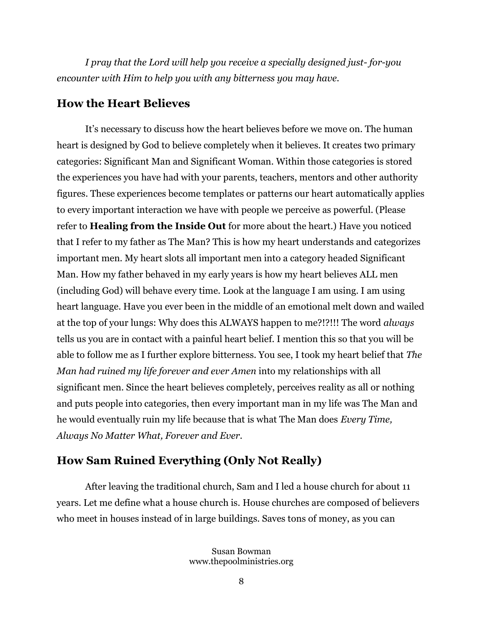*I pray that the Lord will help you receive a specially designed just- for-you encounter with Him to help you with any bitterness you may have.*

#### **How the Heart Believes**

It's necessary to discuss how the heart believes before we move on. The human heart is designed by God to believe completely when it believes. It creates two primary categories: Significant Man and Significant Woman. Within those categories is stored the experiences you have had with your parents, teachers, mentors and other authority figures. These experiences become templates or patterns our heart automatically applies to every important interaction we have with people we perceive as powerful. (Please refer to **Healing from the Inside Out** for more about the heart.) Have you noticed that I refer to my father as The Man? This is how my heart understands and categorizes important men. My heart slots all important men into a category headed Significant Man. How my father behaved in my early years is how my heart believes ALL men (including God) will behave every time. Look at the language I am using. I am using heart language. Have you ever been in the middle of an emotional melt down and wailed at the top of your lungs: Why does this ALWAYS happen to me?!?!!! The word *always* tells us you are in contact with a painful heart belief. I mention this so that you will be able to follow me as I further explore bitterness. You see, I took my heart belief that *The Man had ruined my life forever and ever Amen* into my relationships with all significant men. Since the heart believes completely, perceives reality as all or nothing and puts people into categories, then every important man in my life was The Man and he would eventually ruin my life because that is what The Man does *Every Time, Always No Matter What, Forever and Ever*.

# **How Sam Ruined Everything (Only Not Really)**

After leaving the traditional church, Sam and I led a house church for about 11 years. Let me define what a house church is. House churches are composed of believers who meet in houses instead of in large buildings. Saves tons of money, as you can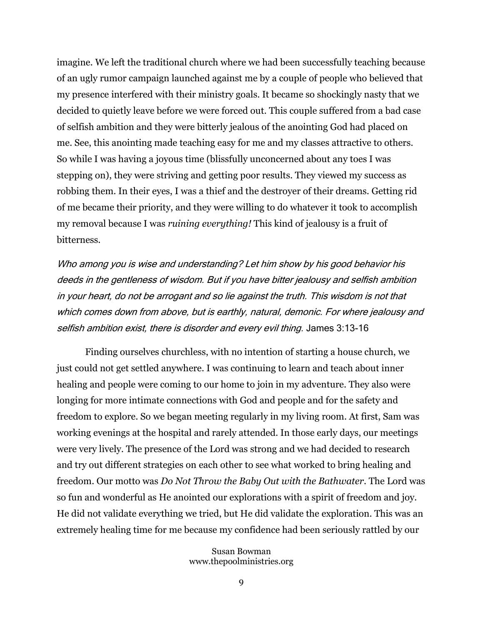imagine. We left the traditional church where we had been successfully teaching because of an ugly rumor campaign launched against me by a couple of people who believed that my presence interfered with their ministry goals. It became so shockingly nasty that we decided to quietly leave before we were forced out. This couple suffered from a bad case of selfish ambition and they were bitterly jealous of the anointing God had placed on me. See, this anointing made teaching easy for me and my classes attractive to others. So while I was having a joyous time (blissfully unconcerned about any toes I was stepping on), they were striving and getting poor results. They viewed my success as robbing them. In their eyes, I was a thief and the destroyer of their dreams. Getting rid of me became their priority, and they were willing to do whatever it took to accomplish my removal because I was *ruining everything!* This kind of jealousy is a fruit of bitterness.

Who among you is wise and understanding? Let him show by his good behavior his deeds in the gentleness of wisdom. But if you have bitter jealousy and selfish ambition in your heart, do not be arrogant and so lie against the truth. This wisdom is not that which comes down from above, but is earthly, natural, demonic. For where jealousy and selfish ambition exist, there is disorder and every evil thing. James 3:13-16

Finding ourselves churchless, with no intention of starting a house church, we just could not get settled anywhere. I was continuing to learn and teach about inner healing and people were coming to our home to join in my adventure. They also were longing for more intimate connections with God and people and for the safety and freedom to explore. So we began meeting regularly in my living room. At first, Sam was working evenings at the hospital and rarely attended. In those early days, our meetings were very lively. The presence of the Lord was strong and we had decided to research and try out different strategies on each other to see what worked to bring healing and freedom. Our motto was *Do Not Throw the Baby Out with the Bathwater*. The Lord was so fun and wonderful as He anointed our explorations with a spirit of freedom and joy. He did not validate everything we tried, but He did validate the exploration. This was an extremely healing time for me because my confidence had been seriously rattled by our

> Susan Bowman www.thepoolministries.org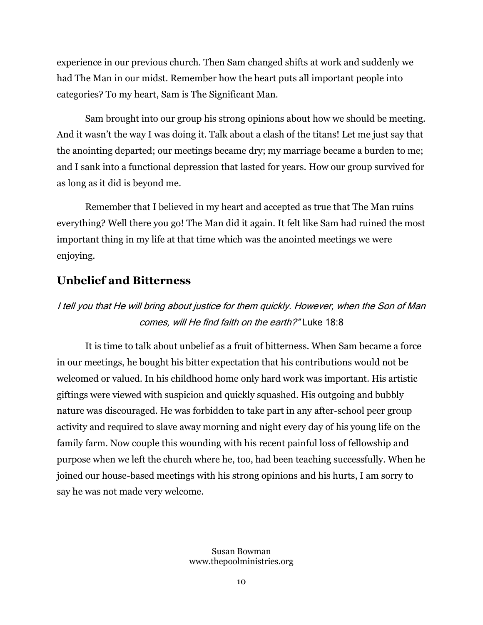experience in our previous church. Then Sam changed shifts at work and suddenly we had The Man in our midst. Remember how the heart puts all important people into categories? To my heart, Sam is The Significant Man.

Sam brought into our group his strong opinions about how we should be meeting. And it wasn't the way I was doing it. Talk about a clash of the titans! Let me just say that the anointing departed; our meetings became dry; my marriage became a burden to me; and I sank into a functional depression that lasted for years. How our group survived for as long as it did is beyond me.

Remember that I believed in my heart and accepted as true that The Man ruins everything? Well there you go! The Man did it again. It felt like Sam had ruined the most important thing in my life at that time which was the anointed meetings we were enjoying.

# **Unbelief and Bitterness**

# I tell you that He will bring about justice for them quickly. However, when the Son of Man comes, will He find faith on the earth?" Luke 18:8

It is time to talk about unbelief as a fruit of bitterness. When Sam became a force in our meetings, he bought his bitter expectation that his contributions would not be welcomed or valued. In his childhood home only hard work was important. His artistic giftings were viewed with suspicion and quickly squashed. His outgoing and bubbly nature was discouraged. He was forbidden to take part in any after-school peer group activity and required to slave away morning and night every day of his young life on the family farm. Now couple this wounding with his recent painful loss of fellowship and purpose when we left the church where he, too, had been teaching successfully. When he joined our house-based meetings with his strong opinions and his hurts, I am sorry to say he was not made very welcome.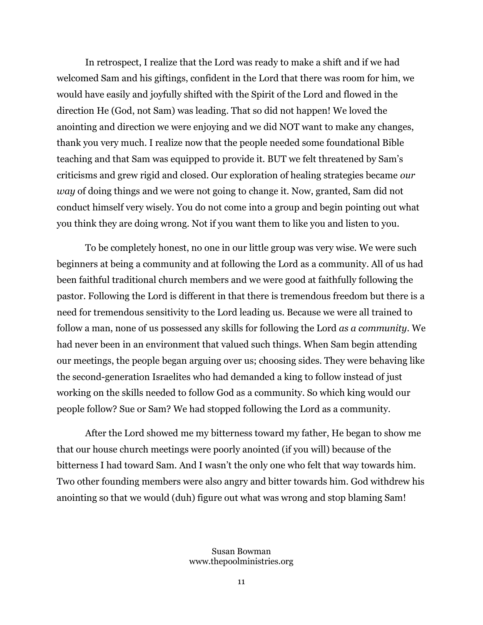In retrospect, I realize that the Lord was ready to make a shift and if we had welcomed Sam and his giftings, confident in the Lord that there was room for him, we would have easily and joyfully shifted with the Spirit of the Lord and flowed in the direction He (God, not Sam) was leading. That so did not happen! We loved the anointing and direction we were enjoying and we did NOT want to make any changes, thank you very much. I realize now that the people needed some foundational Bible teaching and that Sam was equipped to provide it. BUT we felt threatened by Sam's criticisms and grew rigid and closed. Our exploration of healing strategies became *our way* of doing things and we were not going to change it. Now, granted, Sam did not conduct himself very wisely. You do not come into a group and begin pointing out what you think they are doing wrong. Not if you want them to like you and listen to you.

To be completely honest, no one in our little group was very wise. We were such beginners at being a community and at following the Lord as a community. All of us had been faithful traditional church members and we were good at faithfully following the pastor. Following the Lord is different in that there is tremendous freedom but there is a need for tremendous sensitivity to the Lord leading us. Because we were all trained to follow a man, none of us possessed any skills for following the Lord *as a community*. We had never been in an environment that valued such things. When Sam begin attending our meetings, the people began arguing over us; choosing sides. They were behaving like the second-generation Israelites who had demanded a king to follow instead of just working on the skills needed to follow God as a community. So which king would our people follow? Sue or Sam? We had stopped following the Lord as a community.

After the Lord showed me my bitterness toward my father, He began to show me that our house church meetings were poorly anointed (if you will) because of the bitterness I had toward Sam. And I wasn't the only one who felt that way towards him. Two other founding members were also angry and bitter towards him. God withdrew his anointing so that we would (duh) figure out what was wrong and stop blaming Sam!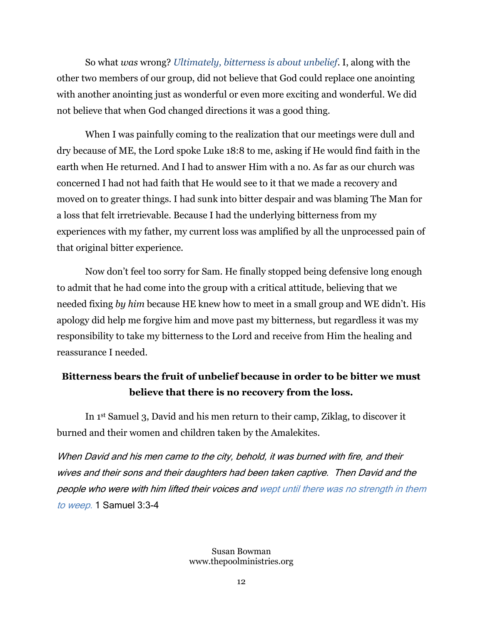So what *was* wrong? *Ultimately, bitterness is about unbelief*. I, along with the other two members of our group, did not believe that God could replace one anointing with another anointing just as wonderful or even more exciting and wonderful. We did not believe that when God changed directions it was a good thing.

When I was painfully coming to the realization that our meetings were dull and dry because of ME, the Lord spoke Luke 18:8 to me, asking if He would find faith in the earth when He returned. And I had to answer Him with a no. As far as our church was concerned I had not had faith that He would see to it that we made a recovery and moved on to greater things. I had sunk into bitter despair and was blaming The Man for a loss that felt irretrievable. Because I had the underlying bitterness from my experiences with my father, my current loss was amplified by all the unprocessed pain of that original bitter experience.

Now don't feel too sorry for Sam. He finally stopped being defensive long enough to admit that he had come into the group with a critical attitude, believing that we needed fixing *by him* because HE knew how to meet in a small group and WE didn't. His apology did help me forgive him and move past my bitterness, but regardless it was my responsibility to take my bitterness to the Lord and receive from Him the healing and reassurance I needed.

# **Bitterness bears the fruit of unbelief because in order to be bitter we must believe that there is no recovery from the loss.**

In 1st Samuel 3, David and his men return to their camp, Ziklag, to discover it burned and their women and children taken by the Amalekites.

When David and his men came to the city, behold, it was burned with fire, and their wives and their sons and their daughters had been taken captive. Then David and the people who were with him lifted their voices and wept until there was no strength in them to weep. 1 Samuel 3:3-4